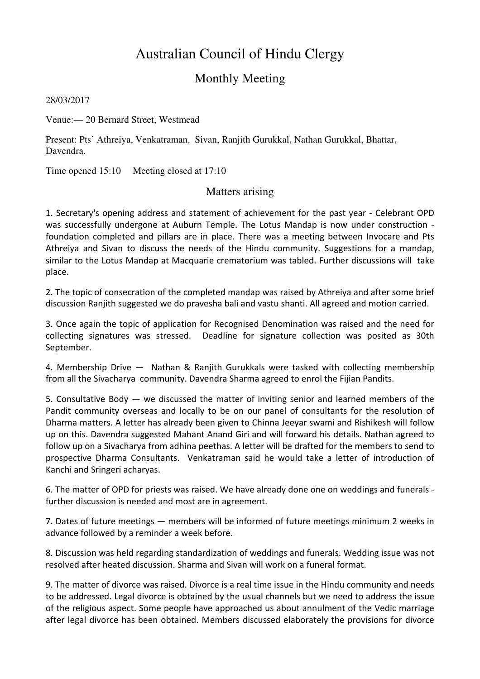## Australian Council of Hindu Clergy

## Monthly Meeting

28/03/2017

Venue:— 20 Bernard Street, Westmead

Present: Pts' Athreiya, Venkatraman, Sivan, Ranjith Gurukkal, Nathan Gurukkal, Bhattar, Davendra.

Time opened 15:10 Meeting closed at 17:10

## Matters arising

1. Secretary's opening address and statement of achievement for the past year - Celebrant OPD was successfully undergone at Auburn Temple. The Lotus Mandap is now under construction foundation completed and pillars are in place. There was a meeting between Invocare and Pts Athreiya and Sivan to discuss the needs of the Hindu community. Suggestions for a mandap, similar to the Lotus Mandap at Macquarie crematorium was tabled. Further discussions will take place.

2. The topic of consecration of the completed mandap was raised by Athreiya and after some brief discussion Ranjith suggested we do pravesha bali and vastu shanti. All agreed and motion carried.

3. Once again the topic of application for Recognised Denomination was raised and the need for collecting signatures was stressed. Deadline for signature collection was posited as 30th September.

4. Membership Drive — Nathan & Ranjith Gurukkals were tasked with collecting membership from all the Sivacharya community. Davendra Sharma agreed to enrol the Fijian Pandits.

5. Consultative Body  $-$  we discussed the matter of inviting senior and learned members of the Pandit community overseas and locally to be on our panel of consultants for the resolution of Dharma matters. A letter has already been given to Chinna Jeeyar swami and Rishikesh will follow up on this. Davendra suggested Mahant Anand Giri and will forward his details. Nathan agreed to follow up on a Sivacharya from adhina peethas. A letter will be drafted for the members to send to prospective Dharma Consultants. Venkatraman said he would take a letter of introduction of Kanchi and Sringeri acharyas.

6. The matter of OPD for priests was raised. We have already done one on weddings and funerals further discussion is needed and most are in agreement.

7. Dates of future meetings — members will be informed of future meetings minimum 2 weeks in advance followed by a reminder a week before.

8. Discussion was held regarding standardization of weddings and funerals. Wedding issue was not resolved after heated discussion. Sharma and Sivan will work on a funeral format.

9. The matter of divorce was raised. Divorce is a real time issue in the Hindu community and needs to be addressed. Legal divorce is obtained by the usual channels but we need to address the issue of the religious aspect. Some people have approached us about annulment of the Vedic marriage after legal divorce has been obtained. Members discussed elaborately the provisions for divorce